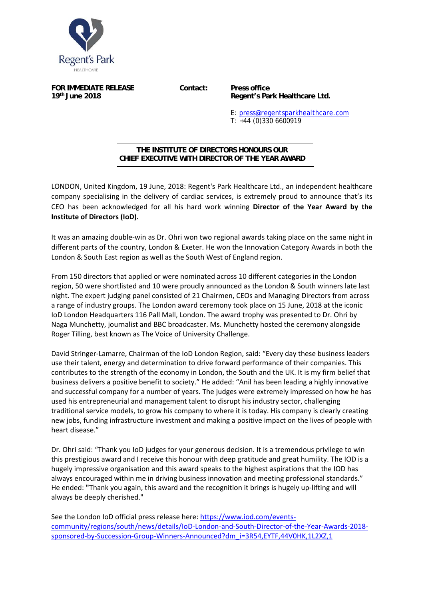

**FOR IMMEDIATE RELEASE Contact: Press office** 

**19th June 2018 Regent's Park Healthcare Ltd.** 

E: press@regentsparkhealthcare.com T: +44 (0)330 6600919

## **THE INSTITUTE OF DIRECTORS HONOURS OUR CHIEF EXECUTIVE WITH DIRECTOR OF THE YEAR AWARD**  j

LONDON, United Kingdom, 19 June, 2018: Regent's Park Healthcare Ltd., an independent healthcare company specialising in the delivery of cardiac services, is extremely proud to announce that's its CEO has been acknowledged for all his hard work winning **Director of the Year Award by the Institute of Directors (IoD).** 

It was an amazing double-win as Dr. Ohri won two regional awards taking place on the same night in different parts of the country, London & Exeter. He won the Innovation Category Awards in both the London & South East region as well as the South West of England region.

From 150 directors that applied or were nominated across 10 different categories in the London region, 50 were shortlisted and 10 were proudly announced as the London & South winners late last night. The expert judging panel consisted of 21 Chairmen, CEOs and Managing Directors from across a range of industry groups. The London award ceremony took place on 15 June, 2018 at the iconic IoD London Headquarters 116 Pall Mall, London. The award trophy was presented to Dr. Ohri by Naga Munchetty, journalist and BBC broadcaster. Ms. Munchetty hosted the ceremony alongside Roger Tilling, best known as The Voice of University Challenge.

David Stringer‐Lamarre, Chairman of the IoD London Region, said: "Every day these business leaders use their talent, energy and determination to drive forward performance of their companies. This contributes to the strength of the economy in London, the South and the UK. It is my firm belief that business delivers a positive benefit to society." He added: "Anil has been leading a highly innovative and successful company for a number of years. The judges were extremely impressed on how he has used his entrepreneurial and management talent to disrupt his industry sector, challenging traditional service models, to grow his company to where it is today. His company is clearly creating new jobs, funding infrastructure investment and making a positive impact on the lives of people with heart disease."

Dr. Ohri said: "Thank you IoD judges for your generous decision. It is a tremendous privilege to win this prestigious award and I receive this honour with deep gratitude and great humility. The IOD is a hugely impressive organisation and this award speaks to the highest aspirations that the IOD has always encouraged within me in driving business innovation and meeting professional standards." He ended: "Thank you again, this award and the recognition it brings is hugely up-lifting and will always be deeply cherished."

See the London IoD official press release here: https://www.iod.com/events‐ community/regions/south/news/details/IoD‐London‐and‐South‐Director‐of‐the‐Year‐Awards‐2018‐ sponsored‐by‐Succession‐Group‐Winners‐Announced?dm\_i=3R54,EYTF,44V0HK,1L2XZ,1